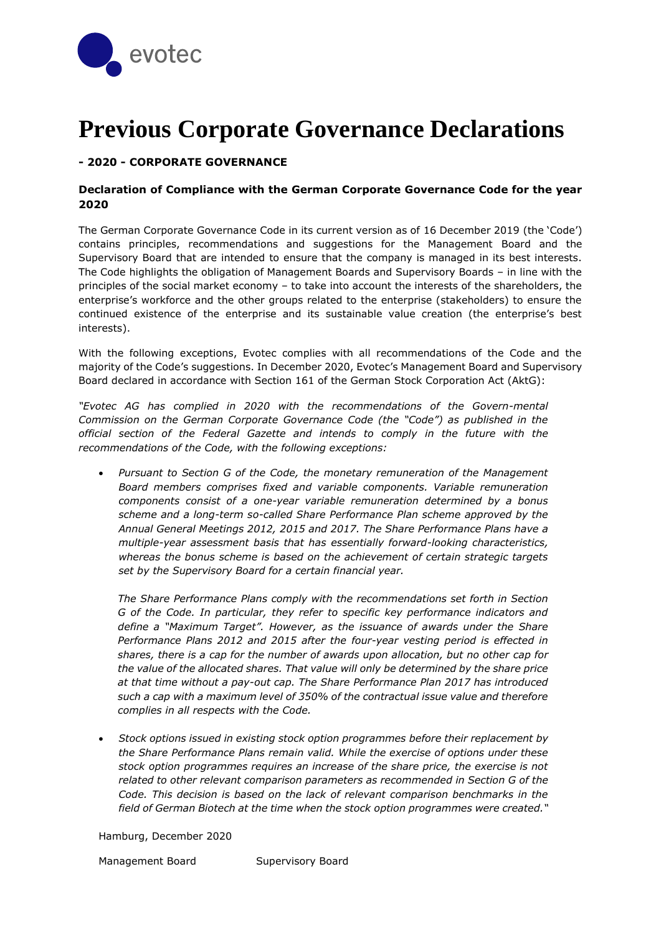

# **Previous Corporate Governance Declarations**

# **- 2020 - CORPORATE GOVERNANCE**

# **Declaration of Compliance with the German Corporate Governance Code for the year 2020**

The German Corporate Governance Code in its current version as of 16 December 2019 (the 'Code') contains principles, recommendations and suggestions for the Management Board and the Supervisory Board that are intended to ensure that the company is managed in its best interests. The Code highlights the obligation of Management Boards and Supervisory Boards – in line with the principles of the social market economy – to take into account the interests of the shareholders, the enterprise's workforce and the other groups related to the enterprise (stakeholders) to ensure the continued existence of the enterprise and its sustainable value creation (the enterprise's best interests).

With the following exceptions, Evotec complies with all recommendations of the Code and the majority of the Code's suggestions. In December 2020, Evotec's Management Board and Supervisory Board declared in accordance with Section 161 of the German Stock Corporation Act (AktG):

*"Evotec AG has complied in 2020 with the recommendations of the Govern-mental Commission on the German Corporate Governance Code (the "Code") as published in the official section of the Federal Gazette and intends to comply in the future with the recommendations of the Code, with the following exceptions:*

 *Pursuant to Section G of the Code, the monetary remuneration of the Management Board members comprises fixed and variable components. Variable remuneration components consist of a one-year variable remuneration determined by a bonus scheme and a long-term so-called Share Performance Plan scheme approved by the Annual General Meetings 2012, 2015 and 2017. The Share Performance Plans have a multiple-year assessment basis that has essentially forward-looking characteristics, whereas the bonus scheme is based on the achievement of certain strategic targets set by the Supervisory Board for a certain financial year.*

*The Share Performance Plans comply with the recommendations set forth in Section G of the Code. In particular, they refer to specific key performance indicators and define a "Maximum Target". However, as the issuance of awards under the Share Performance Plans 2012 and 2015 after the four-year vesting period is effected in shares, there is a cap for the number of awards upon allocation, but no other cap for the value of the allocated shares. That value will only be determined by the share price at that time without a pay-out cap. The Share Performance Plan 2017 has introduced such a cap with a maximum level of 350% of the contractual issue value and therefore complies in all respects with the Code.*

 *Stock options issued in existing stock option programmes before their replacement by the Share Performance Plans remain valid. While the exercise of options under these stock option programmes requires an increase of the share price, the exercise is not related to other relevant comparison parameters as recommended in Section G of the*  Code. This decision is based on the lack of relevant comparison benchmarks in the *field of German Biotech at the time when the stock option programmes were created."*

Hamburg, December 2020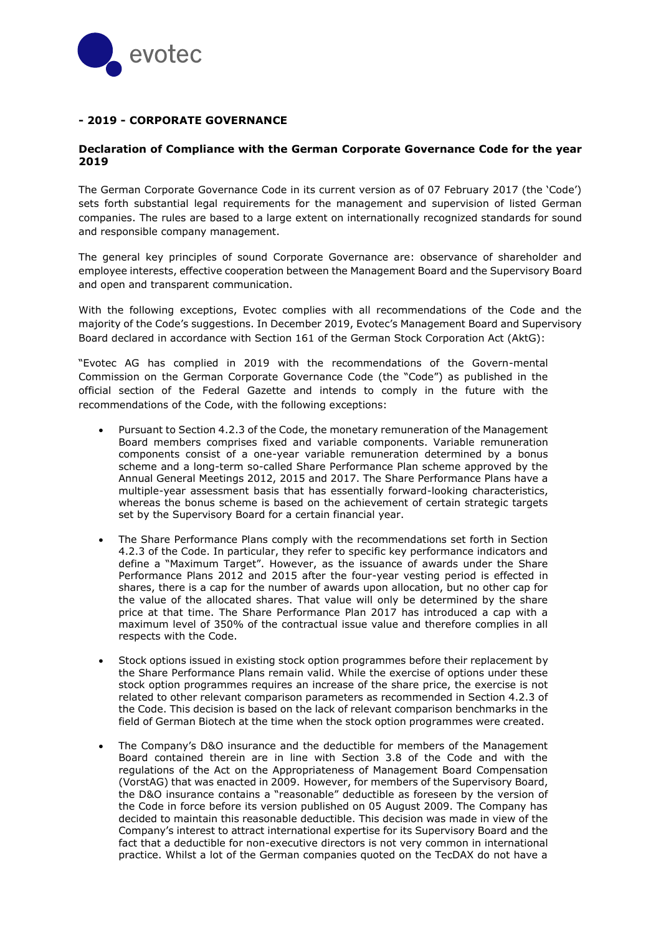

# **- 2019 - CORPORATE GOVERNANCE**

## **Declaration of Compliance with the German Corporate Governance Code for the year 2019**

The German Corporate Governance Code in its current version as of 07 February 2017 (the 'Code') sets forth substantial legal requirements for the management and supervision of listed German companies. The rules are based to a large extent on internationally recognized standards for sound and responsible company management.

The general key principles of sound Corporate Governance are: observance of shareholder and employee interests, effective cooperation between the Management Board and the Supervisory Board and open and transparent communication.

With the following exceptions, Evotec complies with all recommendations of the Code and the majority of the Code's suggestions. In December 2019, Evotec's Management Board and Supervisory Board declared in accordance with Section 161 of the German Stock Corporation Act (AktG):

"Evotec AG has complied in 2019 with the recommendations of the Govern-mental Commission on the German Corporate Governance Code (the "Code") as published in the official section of the Federal Gazette and intends to comply in the future with the recommendations of the Code, with the following exceptions:

- Pursuant to Section 4.2.3 of the Code, the monetary remuneration of the Management Board members comprises fixed and variable components. Variable remuneration components consist of a one-year variable remuneration determined by a bonus scheme and a long-term so-called Share Performance Plan scheme approved by the Annual General Meetings 2012, 2015 and 2017. The Share Performance Plans have a multiple-year assessment basis that has essentially forward-looking characteristics, whereas the bonus scheme is based on the achievement of certain strategic targets set by the Supervisory Board for a certain financial year.
- The Share Performance Plans comply with the recommendations set forth in Section 4.2.3 of the Code. In particular, they refer to specific key performance indicators and define a "Maximum Target". However, as the issuance of awards under the Share Performance Plans 2012 and 2015 after the four-year vesting period is effected in shares, there is a cap for the number of awards upon allocation, but no other cap for the value of the allocated shares. That value will only be determined by the share price at that time. The Share Performance Plan 2017 has introduced a cap with a maximum level of 350% of the contractual issue value and therefore complies in all respects with the Code.
- Stock options issued in existing stock option programmes before their replacement by the Share Performance Plans remain valid. While the exercise of options under these stock option programmes requires an increase of the share price, the exercise is not related to other relevant comparison parameters as recommended in Section 4.2.3 of the Code. This decision is based on the lack of relevant comparison benchmarks in the field of German Biotech at the time when the stock option programmes were created.
- The Company's D&O insurance and the deductible for members of the Management Board contained therein are in line with Section 3.8 of the Code and with the regulations of the Act on the Appropriateness of Management Board Compensation (VorstAG) that was enacted in 2009. However, for members of the Supervisory Board, the D&O insurance contains a "reasonable" deductible as foreseen by the version of the Code in force before its version published on 05 August 2009. The Company has decided to maintain this reasonable deductible. This decision was made in view of the Company's interest to attract international expertise for its Supervisory Board and the fact that a deductible for non-executive directors is not very common in international practice. Whilst a lot of the German companies quoted on the TecDAX do not have a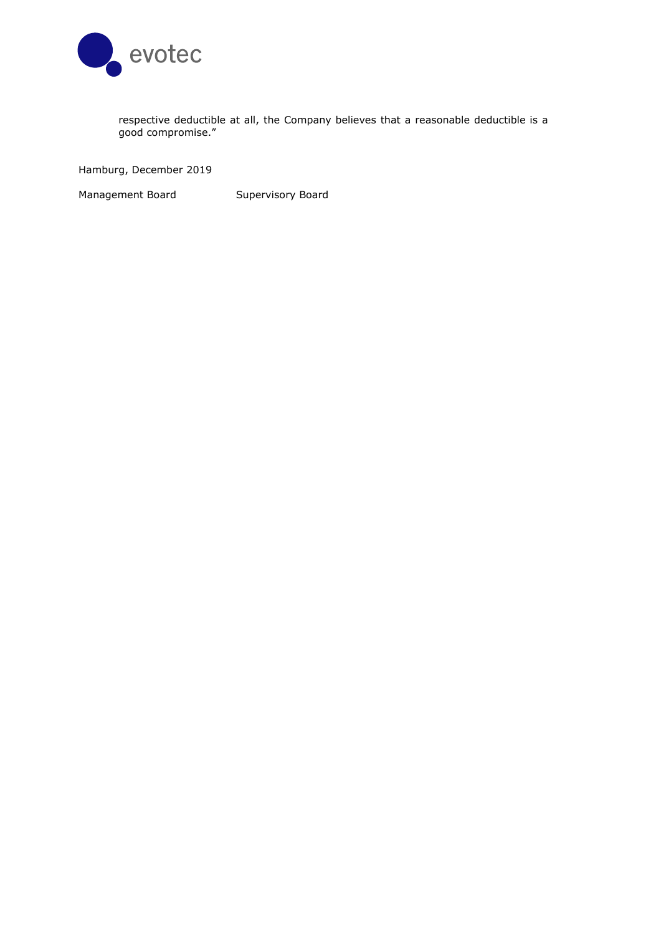

respective deductible at all, the Company believes that a reasonable deductible is a good compromise."

Hamburg, December 2019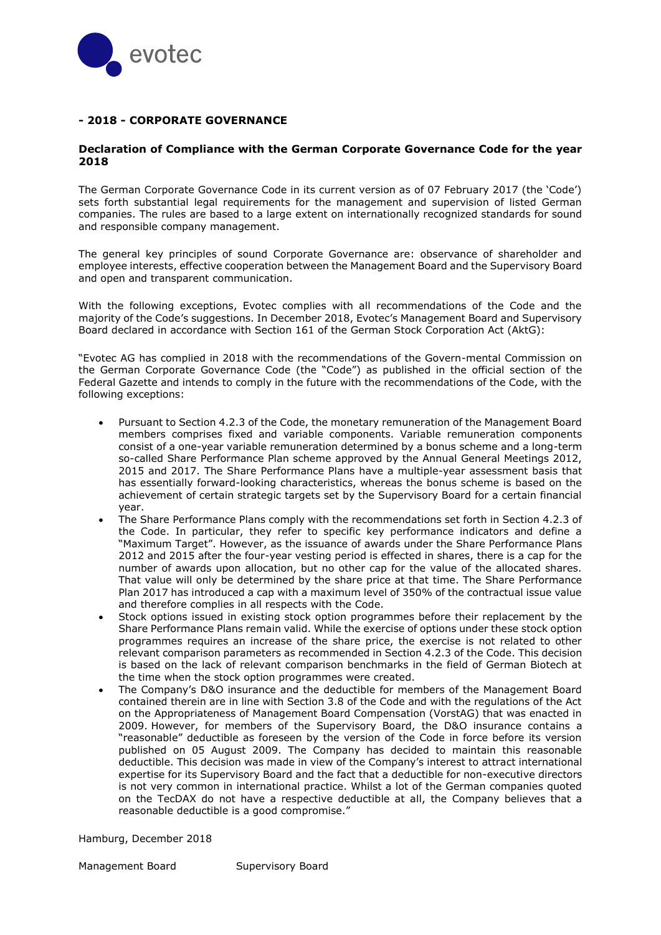

# **- 2018 - CORPORATE GOVERNANCE**

#### **Declaration of Compliance with the German Corporate Governance Code for the year 2018**

The German Corporate Governance Code in its current version as of 07 February 2017 (the 'Code') sets forth substantial legal requirements for the management and supervision of listed German companies. The rules are based to a large extent on internationally recognized standards for sound and responsible company management.

The general key principles of sound Corporate Governance are: observance of shareholder and employee interests, effective cooperation between the Management Board and the Supervisory Board and open and transparent communication.

With the following exceptions, Evotec complies with all recommendations of the Code and the majority of the Code's suggestions. In December 2018, Evotec's Management Board and Supervisory Board declared in accordance with Section 161 of the German Stock Corporation Act (AktG):

"Evotec AG has complied in 2018 with the recommendations of the Govern-mental Commission on the German Corporate Governance Code (the "Code") as published in the official section of the Federal Gazette and intends to comply in the future with the recommendations of the Code, with the following exceptions:

- Pursuant to Section 4.2.3 of the Code, the monetary remuneration of the Management Board members comprises fixed and variable components. Variable remuneration components consist of a one-year variable remuneration determined by a bonus scheme and a long-term so-called Share Performance Plan scheme approved by the Annual General Meetings 2012, 2015 and 2017. The Share Performance Plans have a multiple-year assessment basis that has essentially forward-looking characteristics, whereas the bonus scheme is based on the achievement of certain strategic targets set by the Supervisory Board for a certain financial year.
- The Share Performance Plans comply with the recommendations set forth in Section 4.2.3 of the Code. In particular, they refer to specific key performance indicators and define a "Maximum Target". However, as the issuance of awards under the Share Performance Plans 2012 and 2015 after the four-year vesting period is effected in shares, there is a cap for the number of awards upon allocation, but no other cap for the value of the allocated shares. That value will only be determined by the share price at that time. The Share Performance Plan 2017 has introduced a cap with a maximum level of 350% of the contractual issue value and therefore complies in all respects with the Code.
- Stock options issued in existing stock option programmes before their replacement by the Share Performance Plans remain valid. While the exercise of options under these stock option programmes requires an increase of the share price, the exercise is not related to other relevant comparison parameters as recommended in Section 4.2.3 of the Code. This decision is based on the lack of relevant comparison benchmarks in the field of German Biotech at the time when the stock option programmes were created.
- The Company's D&O insurance and the deductible for members of the Management Board contained therein are in line with Section 3.8 of the Code and with the regulations of the Act on the Appropriateness of Management Board Compensation (VorstAG) that was enacted in 2009. However, for members of the Supervisory Board, the D&O insurance contains a "reasonable" deductible as foreseen by the version of the Code in force before its version published on 05 August 2009. The Company has decided to maintain this reasonable deductible. This decision was made in view of the Company's interest to attract international expertise for its Supervisory Board and the fact that a deductible for non-executive directors is not very common in international practice. Whilst a lot of the German companies quoted on the TecDAX do not have a respective deductible at all, the Company believes that a reasonable deductible is a good compromise."

Hamburg, December 2018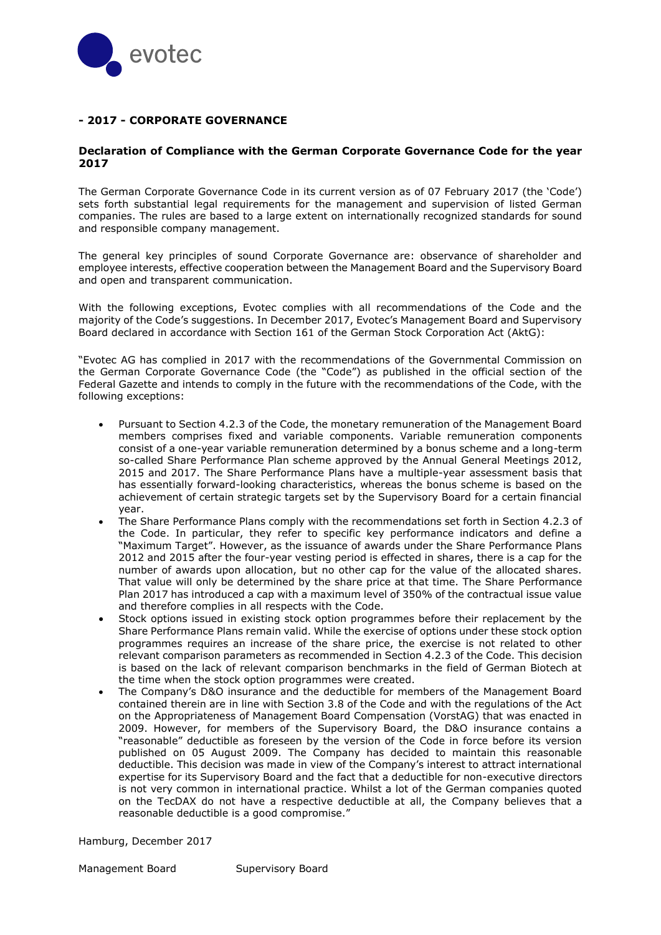

# **- 2017 - CORPORATE GOVERNANCE**

#### **Declaration of Compliance with the German Corporate Governance Code for the year 2017**

The German Corporate Governance Code in its current version as of 07 February 2017 (the 'Code') sets forth substantial legal requirements for the management and supervision of listed German companies. The rules are based to a large extent on internationally recognized standards for sound and responsible company management.

The general key principles of sound Corporate Governance are: observance of shareholder and employee interests, effective cooperation between the Management Board and the Supervisory Board and open and transparent communication.

With the following exceptions, Evotec complies with all recommendations of the Code and the majority of the Code's suggestions. In December 2017, Evotec's Management Board and Supervisory Board declared in accordance with Section 161 of the German Stock Corporation Act (AktG):

"Evotec AG has complied in 2017 with the recommendations of the Governmental Commission on the German Corporate Governance Code (the "Code") as published in the official section of the Federal Gazette and intends to comply in the future with the recommendations of the Code, with the following exceptions:

- Pursuant to Section 4.2.3 of the Code, the monetary remuneration of the Management Board members comprises fixed and variable components. Variable remuneration components consist of a one-year variable remuneration determined by a bonus scheme and a long-term so-called Share Performance Plan scheme approved by the Annual General Meetings 2012, 2015 and 2017. The Share Performance Plans have a multiple-year assessment basis that has essentially forward-looking characteristics, whereas the bonus scheme is based on the achievement of certain strategic targets set by the Supervisory Board for a certain financial year.
- The Share Performance Plans comply with the recommendations set forth in Section 4.2.3 of the Code. In particular, they refer to specific key performance indicators and define a "Maximum Target". However, as the issuance of awards under the Share Performance Plans 2012 and 2015 after the four-year vesting period is effected in shares, there is a cap for the number of awards upon allocation, but no other cap for the value of the allocated shares. That value will only be determined by the share price at that time. The Share Performance Plan 2017 has introduced a cap with a maximum level of 350% of the contractual issue value and therefore complies in all respects with the Code.
- Stock options issued in existing stock option programmes before their replacement by the Share Performance Plans remain valid. While the exercise of options under these stock option programmes requires an increase of the share price, the exercise is not related to other relevant comparison parameters as recommended in Section 4.2.3 of the Code. This decision is based on the lack of relevant comparison benchmarks in the field of German Biotech at the time when the stock option programmes were created.
- The Company's D&O insurance and the deductible for members of the Management Board contained therein are in line with Section 3.8 of the Code and with the regulations of the Act on the Appropriateness of Management Board Compensation (VorstAG) that was enacted in 2009. However, for members of the Supervisory Board, the D&O insurance contains a "reasonable" deductible as foreseen by the version of the Code in force before its version published on 05 August 2009. The Company has decided to maintain this reasonable deductible. This decision was made in view of the Company's interest to attract international expertise for its Supervisory Board and the fact that a deductible for non-executive directors is not very common in international practice. Whilst a lot of the German companies quoted on the TecDAX do not have a respective deductible at all, the Company believes that a reasonable deductible is a good compromise."

Hamburg, December 2017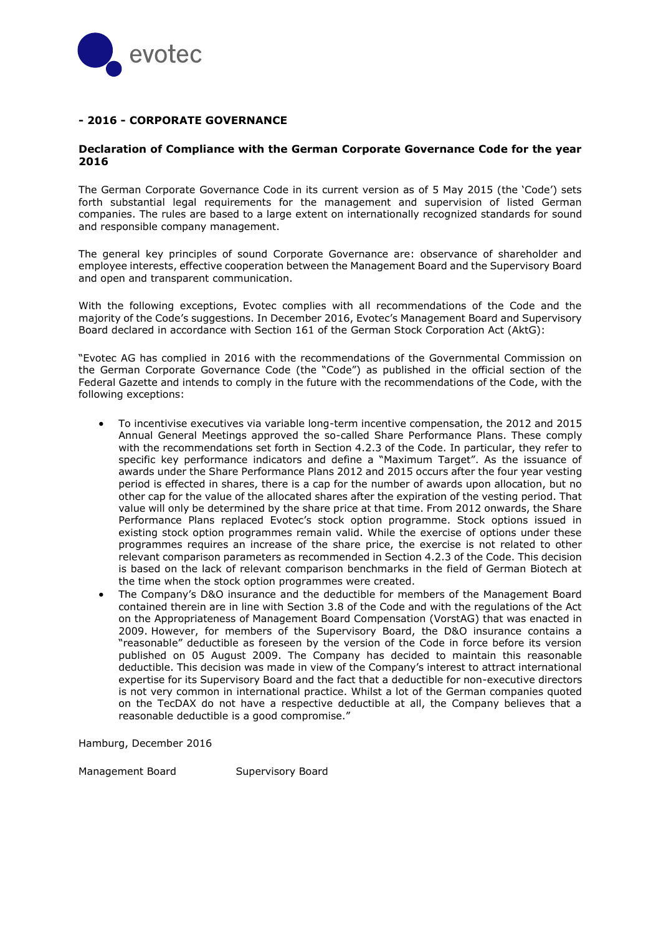

## **- 2016 - CORPORATE GOVERNANCE**

#### **Declaration of Compliance with the German Corporate Governance Code for the year 2016**

The German Corporate Governance Code in its current version as of 5 May 2015 (the 'Code') sets forth substantial legal requirements for the management and supervision of listed German companies. The rules are based to a large extent on internationally recognized standards for sound and responsible company management.

The general key principles of sound Corporate Governance are: observance of shareholder and employee interests, effective cooperation between the Management Board and the Supervisory Board and open and transparent communication.

With the following exceptions, Evotec complies with all recommendations of the Code and the majority of the Code's suggestions. In December 2016, Evotec's Management Board and Supervisory Board declared in accordance with Section 161 of the German Stock Corporation Act (AktG):

"Evotec AG has complied in 2016 with the recommendations of the Governmental Commission on the German Corporate Governance Code (the "Code") as published in the official section of the Federal Gazette and intends to comply in the future with the recommendations of the Code, with the following exceptions:

- To incentivise executives via variable long-term incentive compensation, the 2012 and 2015 Annual General Meetings approved the so-called Share Performance Plans. These comply with the recommendations set forth in Section 4.2.3 of the Code. In particular, they refer to specific key performance indicators and define a "Maximum Target". As the issuance of awards under the Share Performance Plans 2012 and 2015 occurs after the four year vesting period is effected in shares, there is a cap for the number of awards upon allocation, but no other cap for the value of the allocated shares after the expiration of the vesting period. That value will only be determined by the share price at that time. From 2012 onwards, the Share Performance Plans replaced Evotec's stock option programme. Stock options issued in existing stock option programmes remain valid. While the exercise of options under these programmes requires an increase of the share price, the exercise is not related to other relevant comparison parameters as recommended in Section 4.2.3 of the Code. This decision is based on the lack of relevant comparison benchmarks in the field of German Biotech at the time when the stock option programmes were created.
- The Company's D&O insurance and the deductible for members of the Management Board contained therein are in line with Section 3.8 of the Code and with the regulations of the Act on the Appropriateness of Management Board Compensation (VorstAG) that was enacted in 2009. However, for members of the Supervisory Board, the D&O insurance contains a "reasonable" deductible as foreseen by the version of the Code in force before its version published on 05 August 2009. The Company has decided to maintain this reasonable deductible. This decision was made in view of the Company's interest to attract international expertise for its Supervisory Board and the fact that a deductible for non-executive directors is not very common in international practice. Whilst a lot of the German companies quoted on the TecDAX do not have a respective deductible at all, the Company believes that a reasonable deductible is a good compromise."

Hamburg, December 2016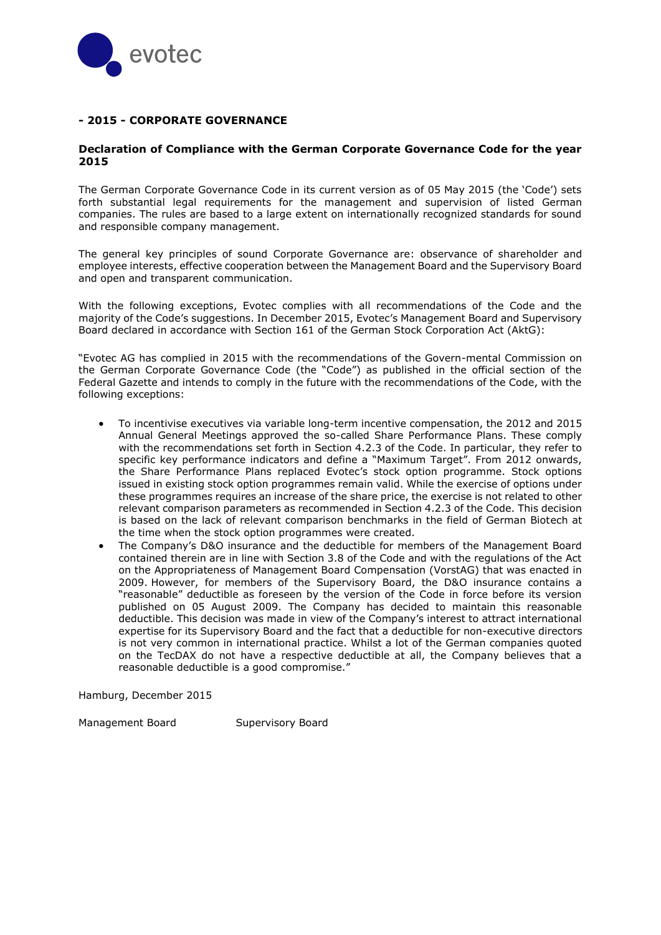

## **- 2015 - CORPORATE GOVERNANCE**

#### **Declaration of Compliance with the German Corporate Governance Code for the year 2015**

The German Corporate Governance Code in its current version as of 05 May 2015 (the 'Code') sets forth substantial legal requirements for the management and supervision of listed German companies. The rules are based to a large extent on internationally recognized standards for sound and responsible company management.

The general key principles of sound Corporate Governance are: observance of shareholder and employee interests, effective cooperation between the Management Board and the Supervisory Board and open and transparent communication.

With the following exceptions, Evotec complies with all recommendations of the Code and the majority of the Code's suggestions. In December 2015, Evotec's Management Board and Supervisory Board declared in accordance with Section 161 of the German Stock Corporation Act (AktG):

"Evotec AG has complied in 2015 with the recommendations of the Govern-mental Commission on the German Corporate Governance Code (the "Code") as published in the official section of the Federal Gazette and intends to comply in the future with the recommendations of the Code, with the following exceptions:

- To incentivise executives via variable long-term incentive compensation, the 2012 and 2015 Annual General Meetings approved the so-called Share Performance Plans. These comply with the recommendations set forth in Section 4.2.3 of the Code. In particular, they refer to specific key performance indicators and define a "Maximum Target". From 2012 onwards, the Share Performance Plans replaced Evotec's stock option programme. Stock options issued in existing stock option programmes remain valid. While the exercise of options under these programmes requires an increase of the share price, the exercise is not related to other relevant comparison parameters as recommended in Section 4.2.3 of the Code. This decision is based on the lack of relevant comparison benchmarks in the field of German Biotech at the time when the stock option programmes were created.
- The Company's D&O insurance and the deductible for members of the Management Board contained therein are in line with Section 3.8 of the Code and with the regulations of the Act on the Appropriateness of Management Board Compensation (VorstAG) that was enacted in 2009. However, for members of the Supervisory Board, the D&O insurance contains a "reasonable" deductible as foreseen by the version of the Code in force before its version published on 05 August 2009. The Company has decided to maintain this reasonable deductible. This decision was made in view of the Company's interest to attract international expertise for its Supervisory Board and the fact that a deductible for non-executive directors is not very common in international practice. Whilst a lot of the German companies quoted on the TecDAX do not have a respective deductible at all, the Company believes that a reasonable deductible is a good compromise."

Hamburg, December 2015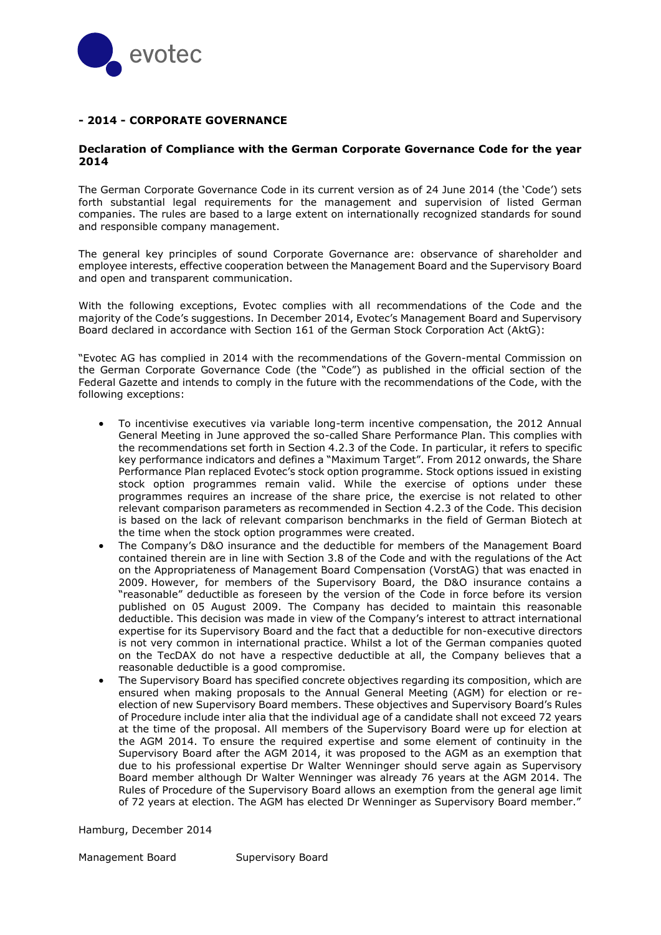

## **- 2014 - CORPORATE GOVERNANCE**

#### **Declaration of Compliance with the German Corporate Governance Code for the year 2014**

The German Corporate Governance Code in its current version as of 24 June 2014 (the 'Code') sets forth substantial legal requirements for the management and supervision of listed German companies. The rules are based to a large extent on internationally recognized standards for sound and responsible company management.

The general key principles of sound Corporate Governance are: observance of shareholder and employee interests, effective cooperation between the Management Board and the Supervisory Board and open and transparent communication.

With the following exceptions, Evotec complies with all recommendations of the Code and the majority of the Code's suggestions. In December 2014, Evotec's Management Board and Supervisory Board declared in accordance with Section 161 of the German Stock Corporation Act (AktG):

"Evotec AG has complied in 2014 with the recommendations of the Govern-mental Commission on the German Corporate Governance Code (the "Code") as published in the official section of the Federal Gazette and intends to comply in the future with the recommendations of the Code, with the following exceptions:

- To incentivise executives via variable long-term incentive compensation, the 2012 Annual General Meeting in June approved the so-called Share Performance Plan. This complies with the recommendations set forth in Section 4.2.3 of the Code. In particular, it refers to specific key performance indicators and defines a "Maximum Target". From 2012 onwards, the Share Performance Plan replaced Evotec's stock option programme. Stock options issued in existing stock option programmes remain valid. While the exercise of options under these programmes requires an increase of the share price, the exercise is not related to other relevant comparison parameters as recommended in Section 4.2.3 of the Code. This decision is based on the lack of relevant comparison benchmarks in the field of German Biotech at the time when the stock option programmes were created.
- The Company's D&O insurance and the deductible for members of the Management Board contained therein are in line with Section 3.8 of the Code and with the regulations of the Act on the Appropriateness of Management Board Compensation (VorstAG) that was enacted in 2009. However, for members of the Supervisory Board, the D&O insurance contains a "reasonable" deductible as foreseen by the version of the Code in force before its version published on 05 August 2009. The Company has decided to maintain this reasonable deductible. This decision was made in view of the Company's interest to attract international expertise for its Supervisory Board and the fact that a deductible for non-executive directors is not very common in international practice. Whilst a lot of the German companies quoted on the TecDAX do not have a respective deductible at all, the Company believes that a reasonable deductible is a good compromise.
- The Supervisory Board has specified concrete objectives regarding its composition, which are ensured when making proposals to the Annual General Meeting (AGM) for election or reelection of new Supervisory Board members. These objectives and Supervisory Board's Rules of Procedure include inter alia that the individual age of a candidate shall not exceed 72 years at the time of the proposal. All members of the Supervisory Board were up for election at the AGM 2014. To ensure the required expertise and some element of continuity in the Supervisory Board after the AGM 2014, it was proposed to the AGM as an exemption that due to his professional expertise Dr Walter Wenninger should serve again as Supervisory Board member although Dr Walter Wenninger was already 76 years at the AGM 2014. The Rules of Procedure of the Supervisory Board allows an exemption from the general age limit of 72 years at election. The AGM has elected Dr Wenninger as Supervisory Board member."

Hamburg, December 2014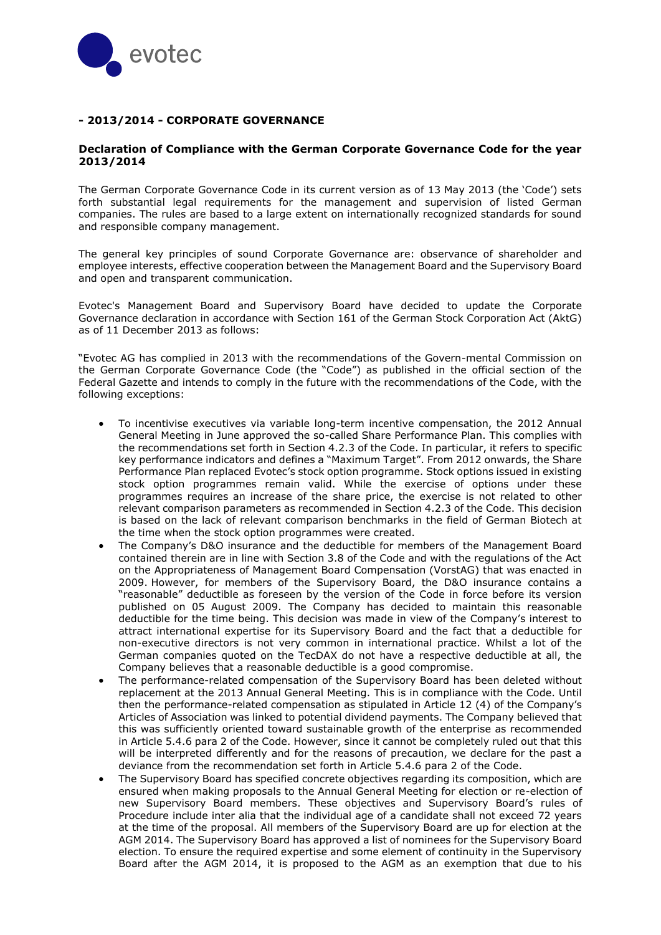

## **- 2013/2014 - CORPORATE GOVERNANCE**

#### **Declaration of Compliance with the German Corporate Governance Code for the year 2013/2014**

The German Corporate Governance Code in its current version as of 13 May 2013 (the 'Code') sets forth substantial legal requirements for the management and supervision of listed German companies. The rules are based to a large extent on internationally recognized standards for sound and responsible company management.

The general key principles of sound Corporate Governance are: observance of shareholder and employee interests, effective cooperation between the Management Board and the Supervisory Board and open and transparent communication.

Evotec's Management Board and Supervisory Board have decided to update the Corporate Governance declaration in accordance with Section 161 of the German Stock Corporation Act (AktG) as of 11 December 2013 as follows:

"Evotec AG has complied in 2013 with the recommendations of the Govern-mental Commission on the German Corporate Governance Code (the "Code") as published in the official section of the Federal Gazette and intends to comply in the future with the recommendations of the Code, with the following exceptions:

- To incentivise executives via variable long-term incentive compensation, the 2012 Annual General Meeting in June approved the so-called Share Performance Plan. This complies with the recommendations set forth in Section 4.2.3 of the Code. In particular, it refers to specific key performance indicators and defines a "Maximum Target". From 2012 onwards, the Share Performance Plan replaced Evotec's stock option programme. Stock options issued in existing stock option programmes remain valid. While the exercise of options under these programmes requires an increase of the share price, the exercise is not related to other relevant comparison parameters as recommended in Section 4.2.3 of the Code. This decision is based on the lack of relevant comparison benchmarks in the field of German Biotech at the time when the stock option programmes were created.
- The Company's D&O insurance and the deductible for members of the Management Board contained therein are in line with Section 3.8 of the Code and with the regulations of the Act on the Appropriateness of Management Board Compensation (VorstAG) that was enacted in 2009. However, for members of the Supervisory Board, the D&O insurance contains a "reasonable" deductible as foreseen by the version of the Code in force before its version published on 05 August 2009. The Company has decided to maintain this reasonable deductible for the time being. This decision was made in view of the Company's interest to attract international expertise for its Supervisory Board and the fact that a deductible for non-executive directors is not very common in international practice. Whilst a lot of the German companies quoted on the TecDAX do not have a respective deductible at all, the Company believes that a reasonable deductible is a good compromise.
- The performance-related compensation of the Supervisory Board has been deleted without replacement at the 2013 Annual General Meeting. This is in compliance with the Code. Until then the performance-related compensation as stipulated in Article 12 (4) of the Company's Articles of Association was linked to potential dividend payments. The Company believed that this was sufficiently oriented toward sustainable growth of the enterprise as recommended in Article 5.4.6 para 2 of the Code. However, since it cannot be completely ruled out that this will be interpreted differently and for the reasons of precaution, we declare for the past a deviance from the recommendation set forth in Article 5.4.6 para 2 of the Code.
- The Supervisory Board has specified concrete objectives regarding its composition, which are ensured when making proposals to the Annual General Meeting for election or re-election of new Supervisory Board members. These objectives and Supervisory Board's rules of Procedure include inter alia that the individual age of a candidate shall not exceed 72 years at the time of the proposal. All members of the Supervisory Board are up for election at the AGM 2014. The Supervisory Board has approved a list of nominees for the Supervisory Board election. To ensure the required expertise and some element of continuity in the Supervisory Board after the AGM 2014, it is proposed to the AGM as an exemption that due to his